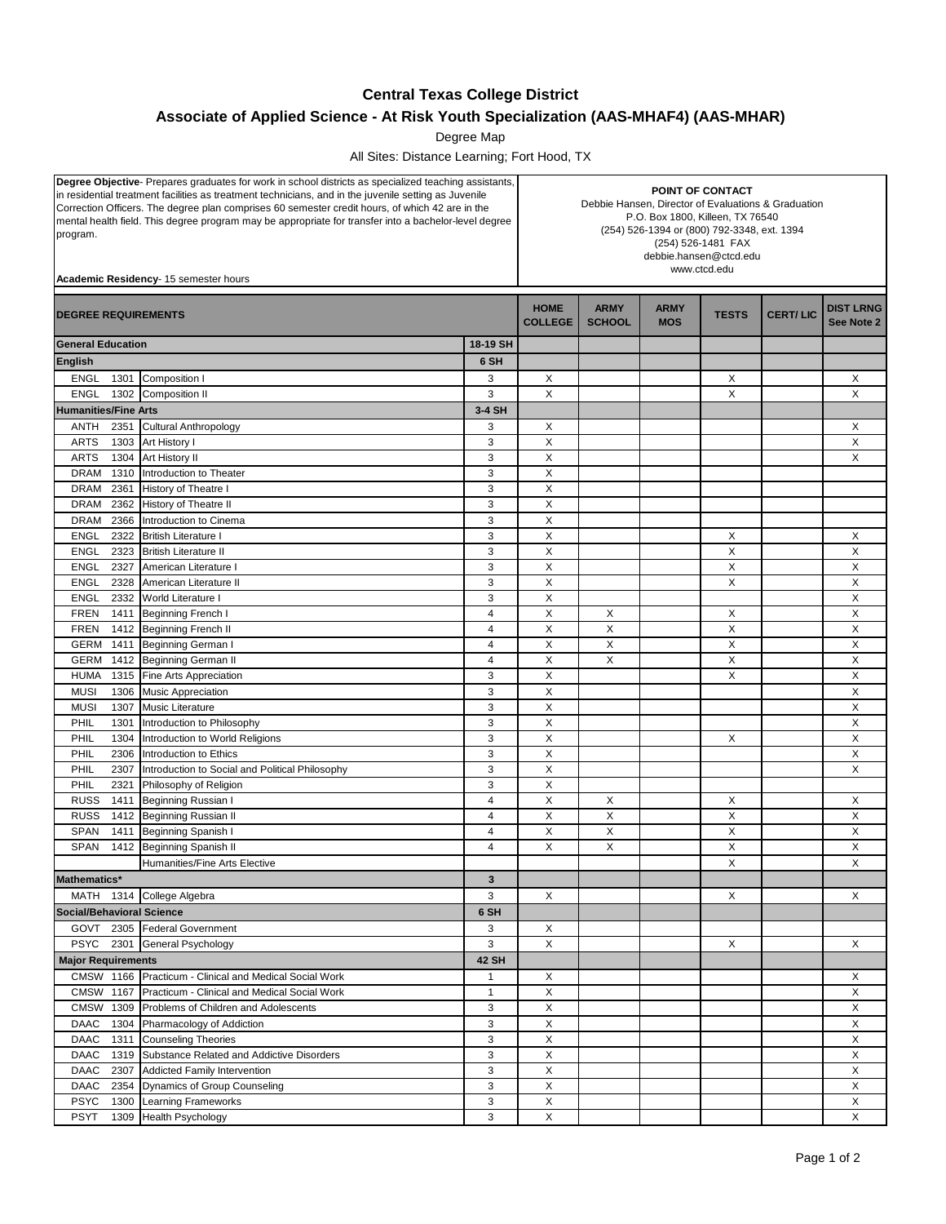## **Central Texas College District**

## **Associate of Applied Science - At Risk Youth Specialization (AAS-MHAF4) (AAS-MHAR)**

Degree Map

All Sites: Distance Learning; Fort Hood, TX

| Degree Objective- Prepares graduates for work in school districts as specialized teaching assistants,<br>in residential treatment facilities as treatment technicians, and in the juvenile setting as Juvenile<br>Correction Officers. The degree plan comprises 60 semester credit hours, of which 42 are in the<br>mental health field. This degree program may be appropriate for transfer into a bachelor-level degree<br>program.<br>Academic Residency- 15 semester hours |                                                                                                        |                               | POINT OF CONTACT<br>Debbie Hansen, Director of Evaluations & Graduation<br>P.O. Box 1800, Killeen, TX 76540<br>(254) 526-1394 or (800) 792-3348, ext. 1394<br>(254) 526-1481 FAX<br>debbie.hansen@ctcd.edu<br>www.ctcd.edu |                           |              |                           |                                |        |
|---------------------------------------------------------------------------------------------------------------------------------------------------------------------------------------------------------------------------------------------------------------------------------------------------------------------------------------------------------------------------------------------------------------------------------------------------------------------------------|--------------------------------------------------------------------------------------------------------|-------------------------------|----------------------------------------------------------------------------------------------------------------------------------------------------------------------------------------------------------------------------|---------------------------|--------------|---------------------------|--------------------------------|--------|
| <b>DEGREE REQUIREMENTS</b>                                                                                                                                                                                                                                                                                                                                                                                                                                                      |                                                                                                        | <b>HOME</b><br><b>COLLEGE</b> | <b>ARMY</b><br><b>SCHOOL</b>                                                                                                                                                                                               | <b>ARMY</b><br><b>MOS</b> | <b>TESTS</b> | <b>CERT/LIC</b>           | <b>DIST LRNG</b><br>See Note 2 |        |
| <b>General Education</b><br>18-19 SH                                                                                                                                                                                                                                                                                                                                                                                                                                            |                                                                                                        |                               |                                                                                                                                                                                                                            |                           |              |                           |                                |        |
| <b>English</b>                                                                                                                                                                                                                                                                                                                                                                                                                                                                  |                                                                                                        | 6 SH                          |                                                                                                                                                                                                                            |                           |              |                           |                                |        |
| <b>ENGL</b><br>1301                                                                                                                                                                                                                                                                                                                                                                                                                                                             | Composition I                                                                                          | 3                             | X                                                                                                                                                                                                                          |                           |              | X                         |                                | X      |
| <b>ENGL</b><br>1302                                                                                                                                                                                                                                                                                                                                                                                                                                                             | Composition II                                                                                         | 3                             | X                                                                                                                                                                                                                          |                           |              | X                         |                                | X      |
| <b>Humanities/Fine Arts</b>                                                                                                                                                                                                                                                                                                                                                                                                                                                     |                                                                                                        | 3-4 SH                        |                                                                                                                                                                                                                            |                           |              |                           |                                |        |
| ANTH<br>2351                                                                                                                                                                                                                                                                                                                                                                                                                                                                    | Cultural Anthropology                                                                                  | 3                             | Х                                                                                                                                                                                                                          |                           |              |                           |                                | Χ      |
| <b>ARTS</b><br>1303                                                                                                                                                                                                                                                                                                                                                                                                                                                             | Art History I                                                                                          | 3                             | X                                                                                                                                                                                                                          |                           |              |                           |                                | X      |
| <b>ARTS</b><br>1304                                                                                                                                                                                                                                                                                                                                                                                                                                                             | Art History II                                                                                         | 3                             | X                                                                                                                                                                                                                          |                           |              |                           |                                | X      |
| <b>DRAM</b><br>1310                                                                                                                                                                                                                                                                                                                                                                                                                                                             | Introduction to Theater                                                                                | 3                             | X                                                                                                                                                                                                                          |                           |              |                           |                                |        |
| <b>DRAM</b><br>2361                                                                                                                                                                                                                                                                                                                                                                                                                                                             | History of Theatre I                                                                                   | 3                             | X                                                                                                                                                                                                                          |                           |              |                           |                                |        |
| 2362<br><b>DRAM</b>                                                                                                                                                                                                                                                                                                                                                                                                                                                             | <b>History of Theatre II</b>                                                                           | 3                             | X                                                                                                                                                                                                                          |                           |              |                           |                                |        |
| DRAM<br>2366                                                                                                                                                                                                                                                                                                                                                                                                                                                                    | Introduction to Cinema                                                                                 | 3                             | X                                                                                                                                                                                                                          |                           |              |                           |                                |        |
| <b>ENGL</b><br>2322                                                                                                                                                                                                                                                                                                                                                                                                                                                             | <b>British Literature I</b>                                                                            | 3                             | X                                                                                                                                                                                                                          |                           |              | X                         |                                | X      |
| <b>ENGL</b><br>2323                                                                                                                                                                                                                                                                                                                                                                                                                                                             | <b>British Literature II</b>                                                                           | 3                             | X                                                                                                                                                                                                                          |                           |              | X                         |                                | X      |
| <b>ENGL</b><br>2327                                                                                                                                                                                                                                                                                                                                                                                                                                                             | American Literature I                                                                                  | 3                             | X                                                                                                                                                                                                                          |                           |              | X                         |                                | X      |
| <b>ENGL</b><br>2328                                                                                                                                                                                                                                                                                                                                                                                                                                                             | American Literature II                                                                                 | 3                             | X                                                                                                                                                                                                                          |                           |              | X                         |                                | X      |
| <b>ENGL</b><br>2332                                                                                                                                                                                                                                                                                                                                                                                                                                                             | <b>World Literature I</b>                                                                              | 3                             | X                                                                                                                                                                                                                          |                           |              |                           |                                | X      |
| <b>FREN</b><br>1411                                                                                                                                                                                                                                                                                                                                                                                                                                                             | Beginning French I                                                                                     | $\overline{4}$                | X                                                                                                                                                                                                                          | X                         |              | X                         |                                | X      |
| <b>FREN</b><br>1412                                                                                                                                                                                                                                                                                                                                                                                                                                                             | <b>Beginning French II</b>                                                                             | $\overline{4}$                | X                                                                                                                                                                                                                          | X                         |              | X                         |                                | X      |
| GERM<br>1411                                                                                                                                                                                                                                                                                                                                                                                                                                                                    | <b>Beginning German I</b>                                                                              | 4                             | X                                                                                                                                                                                                                          | X                         |              | $\boldsymbol{\mathsf{X}}$ |                                | X      |
| <b>GERM</b><br>1412                                                                                                                                                                                                                                                                                                                                                                                                                                                             | <b>Beginning German II</b>                                                                             | $\overline{4}$                | X                                                                                                                                                                                                                          | X                         |              | X                         |                                | X      |
| <b>HUMA</b><br>1315                                                                                                                                                                                                                                                                                                                                                                                                                                                             | Fine Arts Appreciation                                                                                 | 3                             | X                                                                                                                                                                                                                          |                           |              | X                         |                                | X      |
| <b>MUSI</b><br>1306                                                                                                                                                                                                                                                                                                                                                                                                                                                             | <b>Music Appreciation</b>                                                                              | 3                             | X                                                                                                                                                                                                                          |                           |              |                           |                                | X      |
| <b>MUSI</b><br>1307                                                                                                                                                                                                                                                                                                                                                                                                                                                             | <b>Music Literature</b>                                                                                | 3                             | X                                                                                                                                                                                                                          |                           |              |                           |                                | X      |
| PHIL<br>1301                                                                                                                                                                                                                                                                                                                                                                                                                                                                    | Introduction to Philosophy                                                                             | 3                             | X                                                                                                                                                                                                                          |                           |              |                           |                                | X      |
| PHIL<br>1304                                                                                                                                                                                                                                                                                                                                                                                                                                                                    | Introduction to World Religions                                                                        | 3                             | X                                                                                                                                                                                                                          |                           |              | X                         |                                | X      |
| PHIL<br>2306                                                                                                                                                                                                                                                                                                                                                                                                                                                                    | Introduction to Ethics                                                                                 | 3                             | X                                                                                                                                                                                                                          |                           |              |                           |                                | X      |
| PHIL<br>2307                                                                                                                                                                                                                                                                                                                                                                                                                                                                    | Introduction to Social and Political Philosophy                                                        | 3                             | X                                                                                                                                                                                                                          |                           |              |                           |                                | X      |
| PHIL<br>2321                                                                                                                                                                                                                                                                                                                                                                                                                                                                    | Philosophy of Religion                                                                                 | 3                             | X                                                                                                                                                                                                                          |                           |              |                           |                                |        |
| <b>RUSS</b><br>1411                                                                                                                                                                                                                                                                                                                                                                                                                                                             | Beginning Russian I                                                                                    | 4                             | X                                                                                                                                                                                                                          | X                         |              | X                         |                                | X      |
| <b>RUSS</b><br>1412                                                                                                                                                                                                                                                                                                                                                                                                                                                             | Beginning Russian II                                                                                   | $\overline{4}$                | X                                                                                                                                                                                                                          | X                         |              | X                         |                                | X      |
| <b>SPAN</b><br>1411                                                                                                                                                                                                                                                                                                                                                                                                                                                             | <b>Beginning Spanish I</b>                                                                             | $\overline{4}$                | X                                                                                                                                                                                                                          | X                         |              | X                         |                                | X      |
| SPAN<br>1412                                                                                                                                                                                                                                                                                                                                                                                                                                                                    | Beginning Spanish II                                                                                   | $\overline{4}$                | X                                                                                                                                                                                                                          | X                         |              | X                         |                                | X      |
|                                                                                                                                                                                                                                                                                                                                                                                                                                                                                 | Humanities/Fine Arts Elective                                                                          |                               |                                                                                                                                                                                                                            |                           |              | X                         |                                | X      |
| Mathematics*                                                                                                                                                                                                                                                                                                                                                                                                                                                                    |                                                                                                        | 3                             |                                                                                                                                                                                                                            |                           |              |                           |                                |        |
|                                                                                                                                                                                                                                                                                                                                                                                                                                                                                 | MATH 1314 College Algebra                                                                              | 3                             | X                                                                                                                                                                                                                          |                           |              | X                         |                                | X      |
| <b>Social/Behavioral Science</b>                                                                                                                                                                                                                                                                                                                                                                                                                                                |                                                                                                        | 6 SH                          |                                                                                                                                                                                                                            |                           |              |                           |                                |        |
|                                                                                                                                                                                                                                                                                                                                                                                                                                                                                 | GOVT 2305 Federal Government                                                                           | 3                             | X                                                                                                                                                                                                                          |                           |              |                           |                                |        |
|                                                                                                                                                                                                                                                                                                                                                                                                                                                                                 | PSYC 2301 General Psychology                                                                           | 3                             | X                                                                                                                                                                                                                          |                           |              | X                         |                                | X      |
| <b>Major Requirements</b>                                                                                                                                                                                                                                                                                                                                                                                                                                                       |                                                                                                        | <b>42 SH</b>                  |                                                                                                                                                                                                                            |                           |              |                           |                                |        |
|                                                                                                                                                                                                                                                                                                                                                                                                                                                                                 |                                                                                                        |                               | X                                                                                                                                                                                                                          |                           |              |                           |                                |        |
| CMSW 1167                                                                                                                                                                                                                                                                                                                                                                                                                                                                       | CMSW 1166 Practicum - Clinical and Medical Social Work<br>Practicum - Clinical and Medical Social Work | $\mathbf{1}$<br>$\mathbf{1}$  | X                                                                                                                                                                                                                          |                           |              |                           |                                | X<br>X |
| CMSW 1309                                                                                                                                                                                                                                                                                                                                                                                                                                                                       | Problems of Children and Adolescents                                                                   | 3                             | X                                                                                                                                                                                                                          |                           |              |                           |                                | X      |
| DAAC<br>1304                                                                                                                                                                                                                                                                                                                                                                                                                                                                    | Pharmacology of Addiction                                                                              | 3                             | X                                                                                                                                                                                                                          |                           |              |                           |                                | X      |
| DAAC 1311                                                                                                                                                                                                                                                                                                                                                                                                                                                                       |                                                                                                        | 3                             | X                                                                                                                                                                                                                          |                           |              |                           |                                | X      |
| DAAC<br>1319                                                                                                                                                                                                                                                                                                                                                                                                                                                                    | <b>Counseling Theories</b><br>Substance Related and Addictive Disorders                                | 3                             | X                                                                                                                                                                                                                          |                           |              |                           |                                | X      |
| DAAC<br>2307                                                                                                                                                                                                                                                                                                                                                                                                                                                                    | <b>Addicted Family Intervention</b>                                                                    | 3                             | X                                                                                                                                                                                                                          |                           |              |                           |                                | X      |
| DAAC<br>2354                                                                                                                                                                                                                                                                                                                                                                                                                                                                    | Dynamics of Group Counseling                                                                           | 3                             | X                                                                                                                                                                                                                          |                           |              |                           |                                | X      |
| <b>PSYC</b><br>1300                                                                                                                                                                                                                                                                                                                                                                                                                                                             | Learning Frameworks                                                                                    | 3                             | X                                                                                                                                                                                                                          |                           |              |                           |                                | X      |
|                                                                                                                                                                                                                                                                                                                                                                                                                                                                                 |                                                                                                        | 3                             | X                                                                                                                                                                                                                          |                           |              |                           |                                | X      |
| <b>PSYT</b>                                                                                                                                                                                                                                                                                                                                                                                                                                                                     | 1309 Health Psychology                                                                                 |                               |                                                                                                                                                                                                                            |                           |              |                           |                                |        |